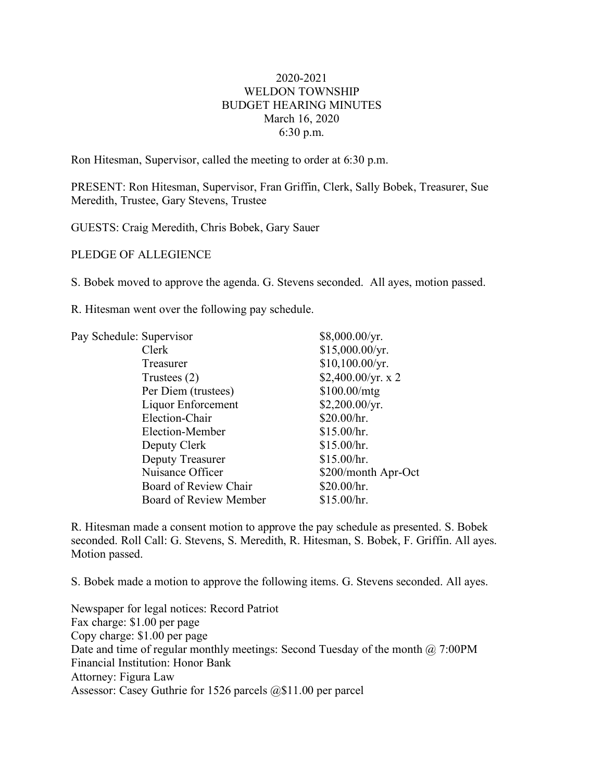## 2020-2021 WELDON TOWNSHIP BUDGET HEARING MINUTES March 16, 2020 6:30 p.m.

Ron Hitesman, Supervisor, called the meeting to order at 6:30 p.m.

PRESENT: Ron Hitesman, Supervisor, Fran Griffin, Clerk, Sally Bobek, Treasurer, Sue Meredith, Trustee, Gary Stevens, Trustee

GUESTS: Craig Meredith, Chris Bobek, Gary Sauer

PLEDGE OF ALLEGIENCE

S. Bobek moved to approve the agenda. G. Stevens seconded. All ayes, motion passed.

R. Hitesman went over the following pay schedule.

| \$15,000.00/yr.     |
|---------------------|
|                     |
| \$10,100.00/yr.     |
| \$2,400.00/yr. x 2  |
| \$100.00/mtg        |
| \$2,200.00/yr.      |
| \$20.00/hr.         |
| \$15.00/hr.         |
| \$15.00/hr.         |
| \$15.00/hr.         |
| \$200/month Apr-Oct |
| \$20.00/hr.         |
| \$15.00/hr.         |
|                     |

R. Hitesman made a consent motion to approve the pay schedule as presented. S. Bobek seconded. Roll Call: G. Stevens, S. Meredith, R. Hitesman, S. Bobek, F. Griffin. All ayes. Motion passed.

S. Bobek made a motion to approve the following items. G. Stevens seconded. All ayes.

Newspaper for legal notices: Record Patriot Fax charge: \$1.00 per page Copy charge: \$1.00 per page Date and time of regular monthly meetings: Second Tuesday of the month @ 7:00PM Financial Institution: Honor Bank Attorney: Figura Law Assessor: Casey Guthrie for 1526 parcels @\$11.00 per parcel